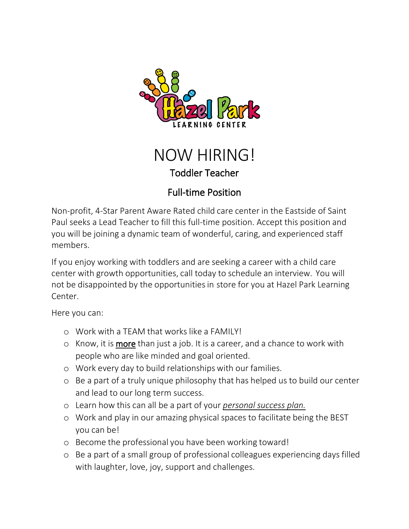



## Full-time Position

Non-profit, 4-Star Parent Aware Rated child care center in the Eastside of Saint Paul seeks a Lead Teacher to fill this full-time position. Accept this position and you will be joining a dynamic team of wonderful, caring, and experienced staff members.

If you enjoy working with toddlers and are seeking a career with a child care center with growth opportunities, call today to schedule an interview. You will not be disappointed by the opportunities in store for you at Hazel Park Learning Center.

Here you can:

- o Work with a TEAM that works like a FAMILY!
- $\circ$  Know, it is **more** than just a job. It is a career, and a chance to work with people who are like minded and goal oriented.
- o Work every day to build relationships with our families.
- o Be a part of a truly unique philosophy that has helped us to build our center and lead to our long term success.
- o Learn how this can all be a part of your *personal success plan.*
- o Work and play in our amazing physical spaces to facilitate being the BEST you can be!
- o Become the professional you have been working toward!
- o Be a part of a small group of professional colleagues experiencing days filled with laughter, love, joy, support and challenges.